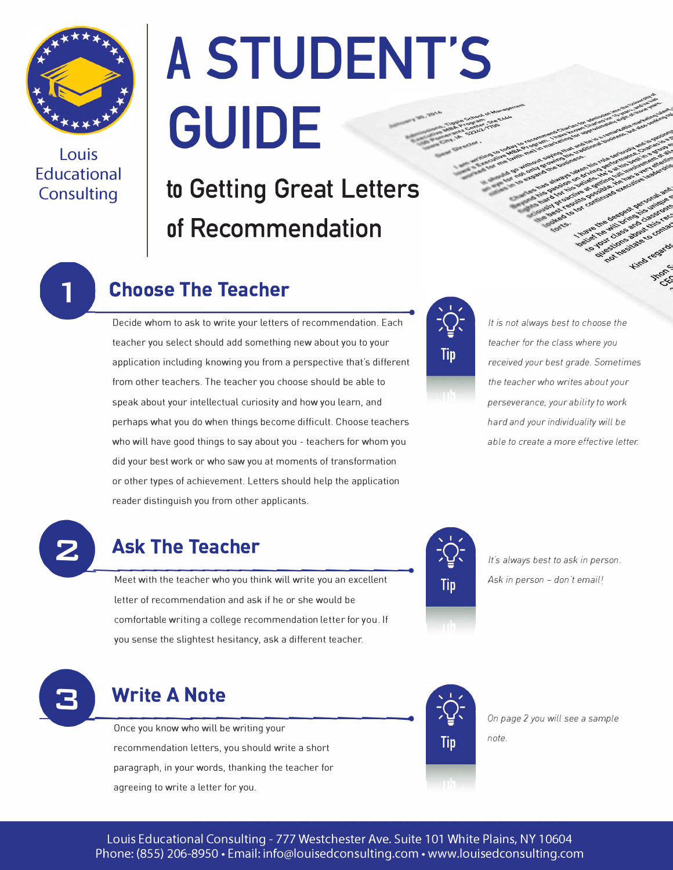

**Louis Educational Consulting** 

# **A STUDENT'S GUIDE**

### **to Getting Great Letters of Recommendation**



### **Choose The Teacher**<br>—————————————

Decide whom to ask to write your letters of recommendation. Each teacher you select should add something new about you to your application including knowing you from a perspective that's different from other teachers. The teacher you choose should be able to speak about your intellectual curiosity and how you learn, and perhaps what you do when things become difficult. Choose teachers who will have good things to say about you - teachers for whom you did your best work or who saw you at moments of transformation or other types of achievement. Letters should help the application reader distinguish you from other applicants.



*It is not always best to choose the teacher for the class where you received your best grade. Sometimes the teacher who writes about your perseverance, your ability to work hard and your individuality will be able to create a more effective letter.* 



### **• 2 Ask The Teache**

**hear the teacher<br>
Meet with the teacher who you think will write you an excellent** letter of recommendation and ask if he or she would be comfortable writing a college recommendation letter for you. If you sense the slightest hesitancy, ask a different teacher.



*lt"s always best to ask in person. Ask in person* - *don ·t email!* 



**Example 20**<br> **Example 2018** Once you know who will be writing your recommendation letters, you should write a short paragraph, in your words, thanking the teacher for agreeing to write a letter for you.



*On page 2 you will see a sample* 

*note.*